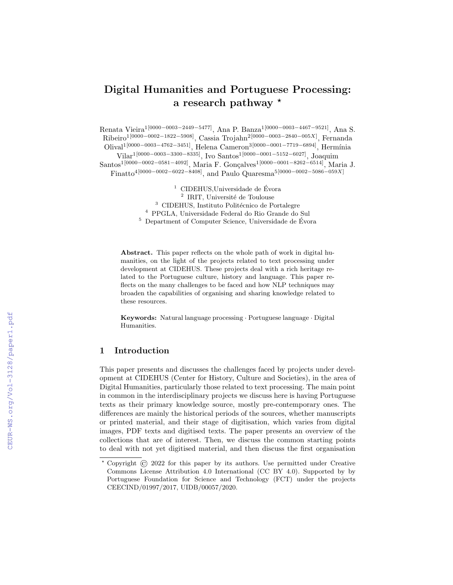# Digital Humanities and Portuguese Processing: a research pathway  $\star$

Renata Vieira1[0000−0003−2449−5477], Ana P. Banza1[0000−0003−4467−9521], Ana S. Ribeiro<sup>1[0000–0002–1822–5908]</sup>, Cassia Trojahn<sup>2[0000–0003–2840–005X]</sup>, Fernanda Olival<sup>1</sup>[0000−0003−4762−3451], Helena Cameron<sup>3</sup>[0000−0001−7719−6894], Hermínia Vilar<sup>1[0000–0003–3300–8335]</sup>, Ivo Santos<sup>1[0000–0001–5152–6027]</sup>, Joaquim Santos<sup>1[0000–0002–0581–4092]</sup>, Maria F. Gonçalves<sup>1[0000–0001–8262–6514]</sup>, Maria J. Finatto<sup>4</sup>[0000–0002–6022–8408], and Paulo Quaresma<sup>5</sup>[0000–0002–5086–059X]

> $1$  CIDEHUS, Universidade de Évora <sup>2</sup> IRIT, Université de Toulouse <sup>3</sup> CIDEHUS, Instituto Politécnico de Portalegre <sup>4</sup> PPGLA, Universidade Federal do Rio Grande do Sul  $5$  Department of Computer Science, Universidade de Évora

Abstract. This paper reflects on the whole path of work in digital humanities, on the light of the projects related to text processing under development at CIDEHUS. These projects deal with a rich heritage related to the Portuguese culture, history and language. This paper reflects on the many challenges to be faced and how NLP techniques may broaden the capabilities of organising and sharing knowledge related to these resources.

Keywords: Natural language processing · Portuguese language · Digital Humanities.

# 1 Introduction

This paper presents and discusses the challenges faced by projects under development at CIDEHUS (Center for History, Culture and Societies), in the area of Digital Humanities, particularly those related to text processing. The main point in common in the interdisciplinary projects we discuss here is having Portuguese texts as their primary knowledge source, mostly pre-contemporary ones. The differences are mainly the historical periods of the sources, whether manuscripts or printed material, and their stage of digitisation, which varies from digital images, PDF texts and digitised texts. The paper presents an overview of the collections that are of interest. Then, we discuss the common starting points to deal with not yet digitised material, and then discuss the first organisation

<sup>⋆</sup> Copyright © 2022 for this paper by its authors. Use permitted under Creative Commons License Attribution 4.0 International (CC BY 4.0). Supported by by Portuguese Foundation for Science and Technology (FCT) under the projects CEECIND/01997/2017, UIDB/00057/2020.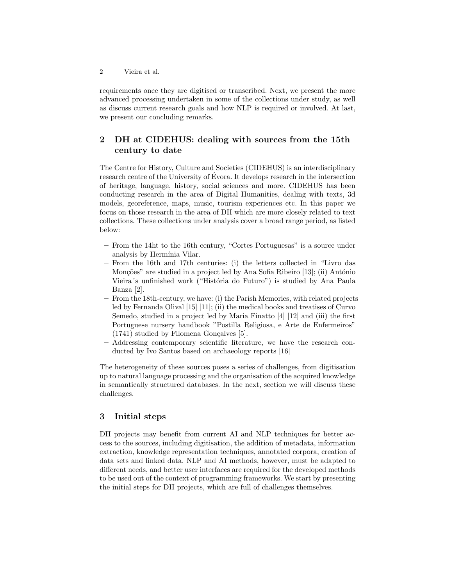requirements once they are digitised or transcribed. Next, we present the more advanced processing undertaken in some of the collections under study, as well as discuss current research goals and how NLP is required or involved. At last, we present our concluding remarks.

# 2 DH at CIDEHUS: dealing with sources from the 15th century to date

The Centre for History, Culture and Societies (CIDEHUS) is an interdisciplinary research centre of the University of Evora. It develops research in the intersection ´ of heritage, language, history, social sciences and more. CIDEHUS has been conducting research in the area of Digital Humanities, dealing with texts, 3d models, georeference, maps, music, tourism experiences etc. In this paper we focus on those research in the area of DH which are more closely related to text collections. These collections under analysis cover a broad range period, as listed below:

- From the 14ht to the 16th century, "Cortes Portuguesas" is a source under analysis by Hermínia Vilar.
- From the 16th and 17th centuries: (i) the letters collected in "Livro das Monções" are studied in a project led by Ana Sofia Ribeiro [13]; (ii) António Vieira's unfinished work ("História do Futuro") is studied by Ana Paula Banza [2].
- From the 18th-century, we have: (i) the Parish Memories, with related projects led by Fernanda Olival [15] [11]; (ii) the medical books and treatises of Curvo Semedo, studied in a project led by Maria Finatto [4] [12] and (iii) the first Portuguese nursery handbook "Postilla Religiosa, e Arte de Enfermeiros"  $(1741)$  studied by Filomena Gonçalves [5].
- Addressing contemporary scientific literature, we have the research conducted by Ivo Santos based on archaeology reports [16]

The heterogeneity of these sources poses a series of challenges, from digitisation up to natural language processing and the organisation of the acquired knowledge in semantically structured databases. In the next, section we will discuss these challenges.

# 3 Initial steps

DH projects may benefit from current AI and NLP techniques for better access to the sources, including digitisation, the addition of metadata, information extraction, knowledge representation techniques, annotated corpora, creation of data sets and linked data. NLP and AI methods, however, must be adapted to different needs, and better user interfaces are required for the developed methods to be used out of the context of programming frameworks. We start by presenting the initial steps for DH projects, which are full of challenges themselves.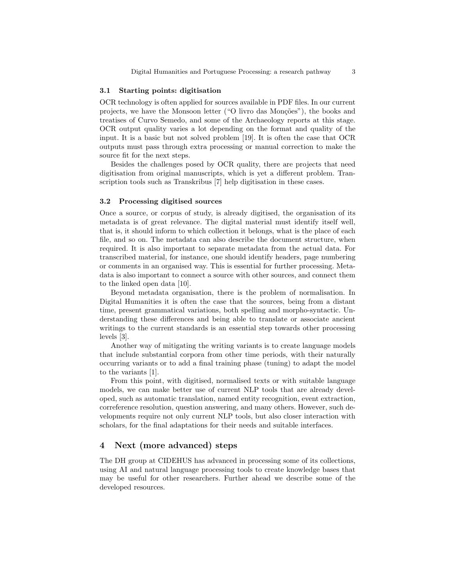#### 3.1 Starting points: digitisation

OCR technology is often applied for sources available in PDF files. In our current projects, we have the Monsoon letter ("O livro das Monções"), the books and treatises of Curvo Semedo, and some of the Archaeology reports at this stage. OCR output quality varies a lot depending on the format and quality of the input. It is a basic but not solved problem [19]. It is often the case that OCR outputs must pass through extra processing or manual correction to make the source fit for the next steps.

Besides the challenges posed by OCR quality, there are projects that need digitisation from original manuscripts, which is yet a different problem. Transcription tools such as Transkribus [7] help digitisation in these cases.

#### 3.2 Processing digitised sources

Once a source, or corpus of study, is already digitised, the organisation of its metadata is of great relevance. The digital material must identify itself well, that is, it should inform to which collection it belongs, what is the place of each file, and so on. The metadata can also describe the document structure, when required. It is also important to separate metadata from the actual data. For transcribed material, for instance, one should identify headers, page numbering or comments in an organised way. This is essential for further processing. Metadata is also important to connect a source with other sources, and connect them to the linked open data [10].

Beyond metadata organisation, there is the problem of normalisation. In Digital Humanities it is often the case that the sources, being from a distant time, present grammatical variations, both spelling and morpho-syntactic. Understanding these differences and being able to translate or associate ancient writings to the current standards is an essential step towards other processing levels [3].

Another way of mitigating the writing variants is to create language models that include substantial corpora from other time periods, with their naturally occurring variants or to add a final training phase (tuning) to adapt the model to the variants [1].

From this point, with digitised, normalised texts or with suitable language models, we can make better use of current NLP tools that are already developed, such as automatic translation, named entity recognition, event extraction, correference resolution, question answering, and many others. However, such developments require not only current NLP tools, but also closer interaction with scholars, for the final adaptations for their needs and suitable interfaces.

## 4 Next (more advanced) steps

The DH group at CIDEHUS has advanced in processing some of its collections, using AI and natural language processing tools to create knowledge bases that may be useful for other researchers. Further ahead we describe some of the developed resources.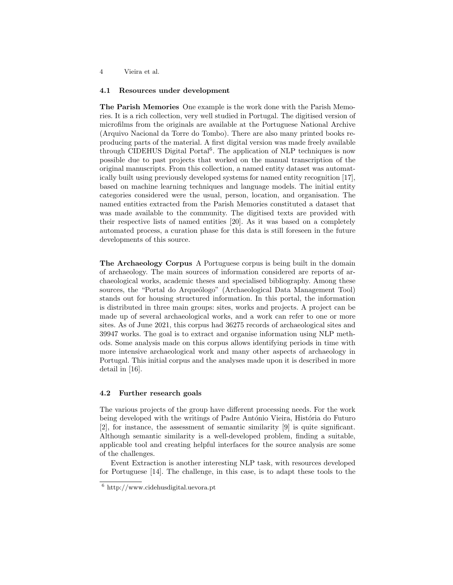#### 4 Vieira et al.

#### 4.1 Resources under development

The Parish Memories One example is the work done with the Parish Memories. It is a rich collection, very well studied in Portugal. The digitised version of microfilms from the originals are available at the Portuguese National Archive (Arquivo Nacional da Torre do Tombo). There are also many printed books reproducing parts of the material. A first digital version was made freely available through CIDEHUS Digital Portal<sup>6</sup>. The application of NLP techniques is now possible due to past projects that worked on the manual transcription of the original manuscripts. From this collection, a named entity dataset was automatically built using previously developed systems for named entity recognition [17], based on machine learning techniques and language models. The initial entity categories considered were the usual, person, location, and organisation. The named entities extracted from the Parish Memories constituted a dataset that was made available to the community. The digitised texts are provided with their respective lists of named entities [20]. As it was based on a completely automated process, a curation phase for this data is still foreseen in the future developments of this source.

The Archaeology Corpus A Portuguese corpus is being built in the domain of archaeology. The main sources of information considered are reports of archaeological works, academic theses and specialised bibliography. Among these sources, the "Portal do Arqueólogo" (Archaeological Data Management Tool) stands out for housing structured information. In this portal, the information is distributed in three main groups: sites, works and projects. A project can be made up of several archaeological works, and a work can refer to one or more sites. As of June 2021, this corpus had 36275 records of archaeological sites and 39947 works. The goal is to extract and organise information using NLP methods. Some analysis made on this corpus allows identifying periods in time with more intensive archaeological work and many other aspects of archaeology in Portugal. This initial corpus and the analyses made upon it is described in more detail in [16].

#### 4.2 Further research goals

The various projects of the group have different processing needs. For the work being developed with the writings of Padre António Vieira, História do Futuro [2], for instance, the assessment of semantic similarity [9] is quite significant. Although semantic similarity is a well-developed problem, finding a suitable, applicable tool and creating helpful interfaces for the source analysis are some of the challenges.

Event Extraction is another interesting NLP task, with resources developed for Portuguese [14]. The challenge, in this case, is to adapt these tools to the

<sup>6</sup> http://www.cidehusdigital.uevora.pt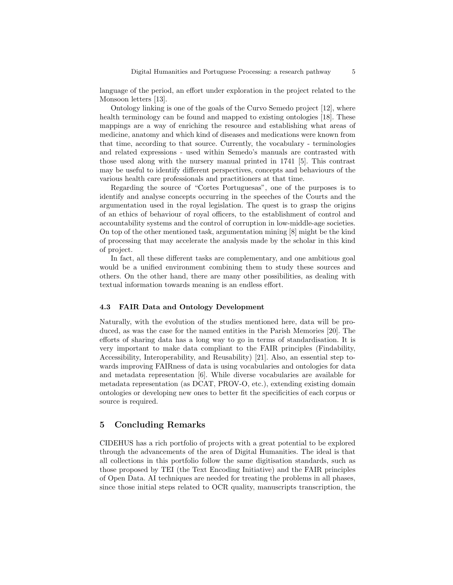language of the period, an effort under exploration in the project related to the Monsoon letters [13].

Ontology linking is one of the goals of the Curvo Semedo project [12], where health terminology can be found and mapped to existing ontologies [18]. These mappings are a way of enriching the resource and establishing what areas of medicine, anatomy and which kind of diseases and medications were known from that time, according to that source. Currently, the vocabulary - terminologies and related expressions - used within Semedo's manuals are contrasted with those used along with the nursery manual printed in 1741 [5]. This contrast may be useful to identify different perspectives, concepts and behaviours of the various health care professionals and practitioners at that time.

Regarding the source of "Cortes Portuguesas", one of the purposes is to identify and analyse concepts occurring in the speeches of the Courts and the argumentation used in the royal legislation. The quest is to grasp the origins of an ethics of behaviour of royal officers, to the establishment of control and accountability systems and the control of corruption in low-middle-age societies. On top of the other mentioned task, argumentation mining [8] might be the kind of processing that may accelerate the analysis made by the scholar in this kind of project.

In fact, all these different tasks are complementary, and one ambitious goal would be a unified environment combining them to study these sources and others. On the other hand, there are many other possibilities, as dealing with textual information towards meaning is an endless effort.

#### 4.3 FAIR Data and Ontology Development

Naturally, with the evolution of the studies mentioned here, data will be produced, as was the case for the named entities in the Parish Memories [20]. The efforts of sharing data has a long way to go in terms of standardisation. It is very important to make data compliant to the FAIR principles (Findability, Accessibility, Interoperability, and Reusability) [21]. Also, an essential step towards improving FAIRness of data is using vocabularies and ontologies for data and metadata representation [6]. While diverse vocabularies are available for metadata representation (as DCAT, PROV-O, etc.), extending existing domain ontologies or developing new ones to better fit the specificities of each corpus or source is required.

## 5 Concluding Remarks

CIDEHUS has a rich portfolio of projects with a great potential to be explored through the advancements of the area of Digital Humanities. The ideal is that all collections in this portfolio follow the same digitisation standards, such as those proposed by TEI (the Text Encoding Initiative) and the FAIR principles of Open Data. AI techniques are needed for treating the problems in all phases, since those initial steps related to OCR quality, manuscripts transcription, the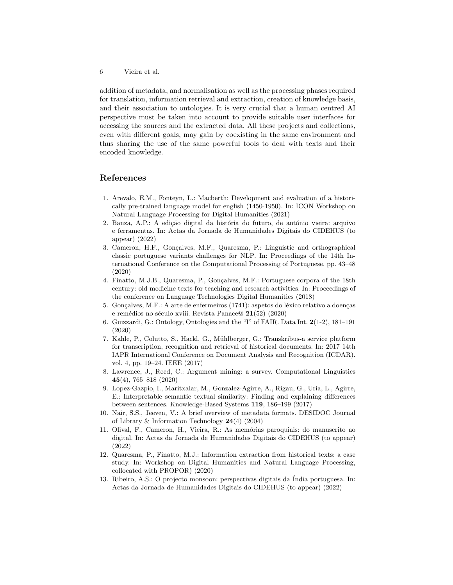6 Vieira et al.

addition of metadata, and normalisation as well as the processing phases required for translation, information retrieval and extraction, creation of knowledge basis, and their association to ontologies. It is very crucial that a human centred AI perspective must be taken into account to provide suitable user interfaces for accessing the sources and the extracted data. All these projects and collections, even with different goals, may gain by coexisting in the same environment and thus sharing the use of the same powerful tools to deal with texts and their encoded knowledge.

# References

- 1. Arevalo, E.M., Fonteyn, L.: Macberth: Development and evaluation of a historically pre-trained language model for english (1450-1950). In: ICON Workshop on Natural Language Processing for Digital Humanities (2021)
- 2. Banza, A.P.: A edição digital da história do futuro, de antónio vieira: arquivo e ferramentas. In: Actas da Jornada de Humanidades Digitais do CIDEHUS (to appear) (2022)
- 3. Cameron, H.F., Gonçalves, M.F., Quaresma, P.: Linguistic and orthographical classic portuguese variants challenges for NLP. In: Proceedings of the 14th International Conference on the Computational Processing of Portuguese. pp. 43–48 (2020)
- 4. Finatto, M.J.B., Quaresma, P., Gonçalves, M.F.: Portuguese corpora of the 18th century: old medicine texts for teaching and research activities. In: Proceedings of the conference on Language Technologies Digital Humanities (2018)
- 5. Gonçalves, M.F.: A arte de enfermeiros  $(1741)$ : aspetos do léxico relativo a doenças e remédios no século xviii. Revista Panace $@ 21(52) (2020)$
- 6. Guizzardi, G.: Ontology, Ontologies and the "I" of FAIR. Data Int. 2(1-2), 181–191 (2020)
- 7. Kahle, P., Colutto, S., Hackl, G., Mühlberger, G.: Transkribus-a service platform for transcription, recognition and retrieval of historical documents. In: 2017 14th IAPR International Conference on Document Analysis and Recognition (ICDAR). vol. 4, pp. 19–24. IEEE (2017)
- 8. Lawrence, J., Reed, C.: Argument mining: a survey. Computational Linguistics 45(4), 765–818 (2020)
- 9. Lopez-Gazpio, I., Maritxalar, M., Gonzalez-Agirre, A., Rigau, G., Uria, L., Agirre, E.: Interpretable semantic textual similarity: Finding and explaining differences between sentences. Knowledge-Based Systems 119, 186–199 (2017)
- 10. Nair, S.S., Jeeven, V.: A brief overview of metadata formats. DESIDOC Journal of Library & Information Technology 24(4) (2004)
- 11. Olival, F., Cameron, H., Vieira, R.: As memórias paroquiais: do manuscrito ao digital. In: Actas da Jornada de Humanidades Digitais do CIDEHUS (to appear) (2022)
- 12. Quaresma, P., Finatto, M.J.: Information extraction from historical texts: a case study. In: Workshop on Digital Humanities and Natural Language Processing, collocated with PROPOR) (2020)
- 13. Ribeiro, A.S.: O projecto monsoon: perspectivas digitais da ´India portuguesa. In: Actas da Jornada de Humanidades Digitais do CIDEHUS (to appear) (2022)